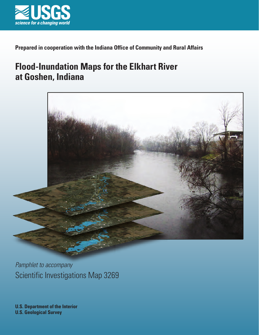

**Prepared in cooperation with the Indiana Office of Community and Rural Affairs**

# **Flood-Inundation Maps for the Elkhart River at Goshen, Indiana**



Scientific Investigations Map 3269 *Pamphlet to accompany*

**U.S. Department of the Interior U.S. Geological Survey**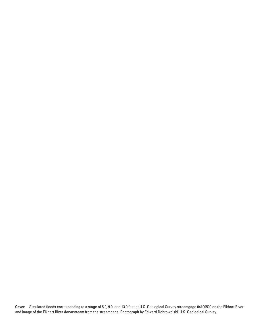**Cover.** Simulated floods corresponding to a stage of 5.0, 9.0, and 13.0 feet at U.S. Geological Survey streamgage 04100500 on the Elkhart River and image of the Elkhart River downstream from the streamgage. Photograph by Edward Dobrowolski, U.S. Geological Survey.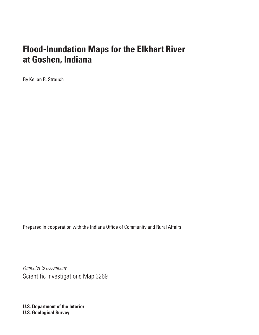# **Flood-Inundation Maps for the Elkhart River at Goshen, Indiana**

By Kellan R. Strauch

Prepared in cooperation with the Indiana Office of Community and Rural Affairs

*Pamphlet to accompany* Scientific Investigations Map 3269

**U.S. Department of the Interior U.S. Geological Survey**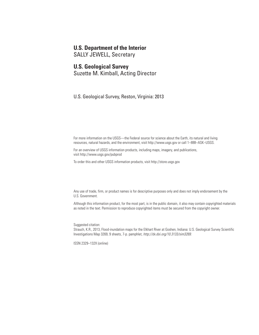#### **U.S. Department of the Interior**

SALLY JEWELL, Secretary

#### **U.S. Geological Survey**

Suzette M. Kimball, Acting Director

U.S. Geological Survey, Reston, Virginia: 2013

For more information on the USGS—the Federal source for science about the Earth, its natural and living resources, natural hazards, and the environment, visit <http://www.usgs.gov>or call 1–888–ASK–USGS.

For an overview of USGS information products, including maps, imagery, and publications, visit<http://www.usgs.gov/pubprod>

To order this and other USGS information products, visit<http://store.usgs.gov>

Any use of trade, firm, or product names is for descriptive purposes only and does not imply endorsement by the U.S. Government.

Although this information product, for the most part, is in the public domain, it also may contain copyrighted materials as noted in the text. Permission to reproduce copyrighted items must be secured from the copyright owner.

Suggested citation:

Strauch, K.R., 2013, Flood-inundation maps for the Elkhart River at Goshen, Indiana: U.S. Geological Survey Scientific Investigations Map 3269, 9 sheets, 7-p. pamphlet, *http://dx.doi.org/10.3133/sim3269*.

ISSN 2329–132X (online)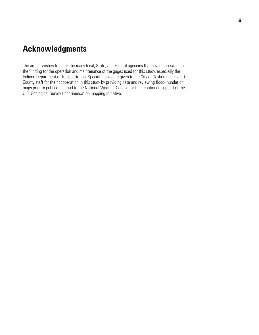## <span id="page-4-0"></span>**Acknowledgments**

The author wishes to thank the many local, State, and Federal agencies that have cooperated in the funding for the operation and maintenance of the gages used for this study, especially the Indiana Department of Transportation. Special thanks are given to the City of Goshen and Elkhart County staff for their cooperation in this study by providing data and reviewing flood-inundation maps prior to publication, and to the National Weather Service for their continued support of the U.S. Geological Survey flood-inundation mapping initiative.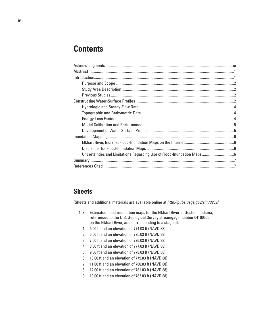## **Contents**

### **Sheets**

[Sheets and additional materials are available online at *<http://pubs.usgs.gov/sim/3269/>*]

- 1–9. Estimated flood-inundation maps for the Elkhart River at Goshen, Indiana, referenced to the U.S. Geological Survey streamgage number 04100500 on the Elkhart River, and corresponding to a stage of:
	- 1. 5.00 ft and an elevation of 774.03 ft (NAVD 88)
	- 2. 6.00 ft and an elevation of 775.03 ft (NAVD 88)
	- 3. 7.00 ft and an elevation of 776.03 ft (NAVD 88)
	- 4. 8.00 ft and an elevation of 777.03 ft (NAVD 88)
	- 5. 9.00 ft and an elevation of 778.03 ft (NAVD 88)
	- 6. 10.00 ft and an elevation of 779.03 ft (NAVD 88)
	- 7. 11.00 ft and an elevation of 780.03 ft (NAVD 88)
	- 8. 12.00 ft and an elevation of 781.03 ft (NAVD 88)
	- 9. 13.00 ft and an elevation of 782.03 ft (NAVD 88)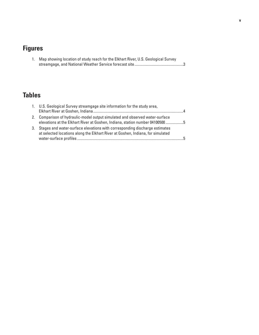# **Figures**

| 1. Map showing location of study reach for the Elkhart River, U.S. Geological Survey |
|--------------------------------------------------------------------------------------|
|                                                                                      |

## **Tables**

|    | 1. U.S. Geological Survey streamgage site information for the study area,                                                                                     |                |
|----|---------------------------------------------------------------------------------------------------------------------------------------------------------------|----------------|
|    |                                                                                                                                                               | $\overline{a}$ |
|    | 2. Comparison of hydraulic-model output simulated and observed water-surface<br>elevations at the Elkhart River at Goshen, Indiana, station number 04100500 5 |                |
| 3. | Stages and water-surface elevations with corresponding discharge estimates<br>at selected locations along the Elkhart River at Goshen, Indiana, for simulated | . 도            |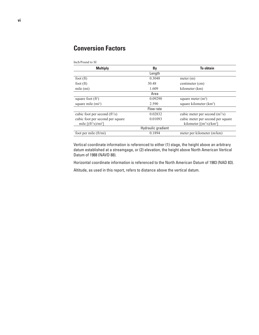## **Conversion Factors**

Inch/Pound to SI

| <b>Multiply</b>                            | By                 | <b>To obtain</b>                                       |  |  |  |  |
|--------------------------------------------|--------------------|--------------------------------------------------------|--|--|--|--|
|                                            | Length             |                                                        |  |  |  |  |
| foot $(ft)$                                | 0.3048             | meter (m)                                              |  |  |  |  |
| foot $(ft)$                                | 30.48              | centimeter (cm)                                        |  |  |  |  |
| mile (mi)                                  | 1.609              | kilometer (km)                                         |  |  |  |  |
|                                            | Area               |                                                        |  |  |  |  |
| square foot $(ft^2)$                       | 0.09290            | square meter $(m2)$                                    |  |  |  |  |
| square mile $(m2)$                         | 2.590              | square kilometer (km <sup>2</sup> )                    |  |  |  |  |
|                                            | Flow rate          |                                                        |  |  |  |  |
| cubic foot per second $(ft^3/s)$           | 0.02832            | cubic meter per second $(m3/s)$                        |  |  |  |  |
| cubic foot per second per square           | 0.01093            | cubic meter per second per square                      |  |  |  |  |
| mile $[(ft3/s)/mi2]$                       |                    | kilometer $\lceil$ (m <sup>3</sup> /s)/km <sup>2</sup> |  |  |  |  |
|                                            | Hydraulic gradient |                                                        |  |  |  |  |
| foot per mile $\left(\frac{ft}{mi}\right)$ | 0.1894             | meter per kilometer (m/km)                             |  |  |  |  |

Vertical coordinate information is referenced to either (1) stage, the height above an arbitrary datum established at a streamgage, or (2) elevation, the height above North American Vertical Datum of 1988 (NAVD 88).

Horizontal coordinate information is referenced to the North American Datum of 1983 (NAD 83).

Altitude, as used in this report, refers to distance above the vertical datum.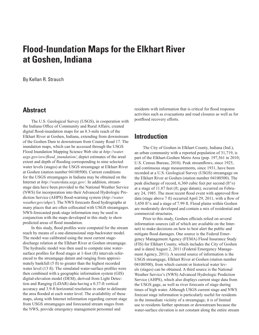# <span id="page-8-0"></span>**Flood-Inundation Maps for the Elkhart River at Goshen, Indiana**

By Kellan R. Strauch

#### **Abstract**

The U.S. Geological Survey (USGS), in cooperation with the Indiana Office of Community and Rural Affairs, created digital flood-inundation maps for an 8.3-mile reach of the Elkhart River at Goshen, Indiana, extending from downstream of the Goshen Dam to downstream from County Road 17. The inundation maps, which can be accessed through the USGS Flood Inundation Mapping Science Web site at *[http://water.](http://water.usgs.gov/osw/flood_inundation/) [usgs.gov/osw/flood\\_inundation/](http://water.usgs.gov/osw/flood_inundation/)*, depict estimates of the areal extent and depth of flooding corresponding to nine selected water levels (stages) at the USGS streamgage at Elkhart River at Goshen (station number 04100500). Current conditions for the USGS streamgages in Indiana may be obtained on the Internet at *<http://waterdata.usgs.gov/>*. In addition, streamstage data have been provided to the National Weather Service (NWS) for incorporation into their Advanced Hydrologic Prediction Service (AHPS) flood-warning system (*[http://water.](http://water.weather.gov/ahps/) [weather.gov/ahps/](http://water.weather.gov/ahps/)*). The NWS forecasts flood hydrographs at many places that are often collocated with USGS streamgages. NWS-forecasted peak-stage information may be used in conjunction with the maps developed in this study to show predicted areas of flood inundation.

In this study, flood profiles were computed for the stream reach by means of a one-dimensional step-backwater model. The model was calibrated using the most current stagedischarge relation at the Elkhart River at Goshen streamgage. The hydraulic model was then used to compute nine watersurface profiles for flood stages at 1-foot (ft) intervals referenced to the streamgage datum and ranging from approximately bankfull (5 ft) to greater than the highest recorded water level (13 ft). The simulated water-surface profiles were then combined with a geographic information system (GIS) digital-elevation model (DEM), derived from Light Detection and Ranging (LiDAR) data having a 0.37-ft vertical accuracy and 3.9-ft horizontal resolution in order to delineate the area flooded at each water level. The availability of these maps, along with Internet information regarding current stage from USGS streamgages and forecasted stream stages from the NWS, provide emergency management personnel and

residents with information that is critical for flood response activities such as evacuations and road closures as well as for postflood recovery efforts.

#### **Introduction**

The City of Goshen in Elkhart County, Indiana (Ind.), an urban community with a reported population of 31,719, is part of the Elkhart-Goshen Metro Area (pop. 197,561 in 2010; U.S. Census Bureau, 2010). Peak streamflows, since 1925, and continuous stage measurements, since 1931, have been recorded at a U.S. Geological Survey (USGS) streamgage on the Elkhart River at Goshen (station number 04100500). The peak discharge of record, 6,360 cubic feet per second (ft<sup>3</sup>/s) at a stage of 11.87 feet (ft; gage datum), occurred on February 24, 1985. The most recent flood event with approved flow data (stage above 7 ft) occurred April 29, 2011, with a flow of  $3,450$  ft $3$ /s and a stage of 7.99 ft. Flood plains within Goshen are moderately developed and contain a mix of residential and commercial structures.

Prior to this study, Goshen officials relied on several information sources (all of which are available on the Internet) to make decisions on how to best alert the public and mitigate flood damages. One source is the Federal Emergency Management Agency (FEMA) Flood Insurance Study (FIS) for Elkhart County, which includes the City of Goshen and is dated August 2, 2011 (Federal Emergency Management Agency, 2011). A second source of information is the USGS streamgage, Elkhart River at Goshen (station number 04100500), from which current or historical water levels (stages) can be obtained. A third source is the National Weather Service's (NWS) Advanced Hydrologic Prediction Service (AHPS), which also displays current stage data from the USGS gage, as well as river forecasts of stage during times of high water. Although USGS current stage and NWS forecast stage information is particularly useful for residents in the immediate vicinity of a streamgage, it is of limited use to residents farther upstream or downstream because the water-surface elevation is not constant along the entire stream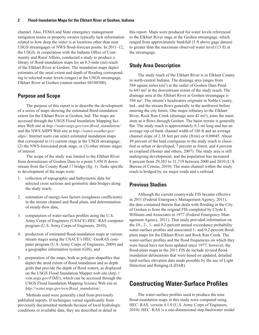<span id="page-9-0"></span>channel. Also, FEMA and State emergency management mitigation teams or property owners typically lack information related to how deep the water is at locations other than near USGS streamgages or NWS flood-forecast points. In 2011–12, the USGS, in cooperation with the Indiana Office of Community and Rural Affairs, conducted a study to produce a library of flood-inundation maps for an 8.3-mile (mi) reach of the Elkhart River at Goshen. The inundation maps depict estimates of the areal extent and depth of flooding corresponding to selected water levels (stages) at the USGS streamgage, Elkhart River at Goshen (station number 04100500).

#### **Purpose and Scope**

The purpose of this report is to describe the development of a series of maps showing the estimated flood-inundation extent for the Elkhart River at Goshen, Ind. The maps are accessed through the USGS Flood Inundation Mapping Science Web site at *[http://water.usgs.gov/osw/flood\\_inundation/](http://water.usgs.gov/osw/flood_inundation/)* and the NWS AHPS Web site at *[http://water.weather.gov/](http://water.weather.gov/ahps/) [ahps/](http://water.weather.gov/ahps/)*. Internet users can select estimated inundation maps that correspond to (1) current stage at the USGS streamgage, (2) the NWS-forecasted peak stage, or (3) other stream stages of interest.

The scope of the study was limited to the Elkhart River from downstream of Goshen Dam to a point 5,450 ft downstream from the County Road 17 bridge (fig. 1). Tasks specific to development of the maps were:

- 1. collection of topographic and bathymetric data for selected cross sections and geometric data bridges along the study reach,
- 2. estimation of energy-loss factors (roughness coefficients) in the stream channel and flood plain, and determination of steady-flow data,
- 3. computation of water-surface profiles using the U.S. Army Corps of Engineers (USACE) HEC–RAS computer program (U.S. Army Corps of Engineers, 2010),
- 4. production of estimated flood-inundation maps at various stream stages using the USACE's HEC–GeoRAS computer program (U.S. Army Corps of Engineers, 2009) and a geographic information system (GIS), and
- 5. preparation of the maps, both as polygon shapefiles that depict the areal extent of flood inundation and as depth grids that provide the depth of flood waters, as displayed on the USGS Flood Inundation Mapper web site (*[http://](http://wim.usgs.gov/FIMI/) [wim.usgs.gov/FIMI/](http://wim.usgs.gov/FIMI/)*), which can be accessed through the USGS Flood Inundation Mapping Science Web site at *[http://water.usgs.gov/osw/flood\\_inundation/](http://water.usgs.gov/osw/flood_inundation/)*.

Methods used were generally cited from previously published reports. If techniques varied significantly from previously documented methods because of local hydrologic conditions or available data, they are described in detail in

this report. Maps were produced for water levels referenced to the Elkhart River stage at the Goshen streamgage, which ranged from approximately bankfull (5 ft above gage datum) to greater than the maximum observed water level (13 ft) at the streamgage.

#### **Study Area Description**

The study reach of the Elkhart River is in Elkhart County in north-central Indiana. The drainage area ranges from 584 square miles (mi2 ) at the outlet of Goshen Dam Pond to 643 mi2 at the downstream extent of the study reach. The drainage area at the Elkhart River at Goshen streamgage is 594 mi2 . The stream's headwaters originate in Noble County, Ind., and the stream flows generally to the northwest before entering the city limits. One major tributary to the Elkhart River, Rock Run Creek (drainage area 42 mi<sup>2</sup> ), joins the main stem as it flows through Goshen. The basin terrain is generally flat. The study reach is approximately 8.3 mi long and has an average top-of-bank channel width of 186 ft and an average channel slope of 2.38 feet per mile (ft/mi) or 0.00045. About 49 percent of the land contiguous to the study reach is classified as urban or developed, 7 percent as forest, and 4 percent as cropland (Homer and others, 2007). The study area is still undergoing development, and the population has increased 8 percent from 29,383 to 31,719 between 2000 and 2010 (U.S. Bureau of Census, 2010). The main channel within the study reach is bridged by six major roads and a railroad.

#### **Previous Studies**

Although the current countywide FIS became effective in 2011 (Federal Emergency Management Agency, 2011), the data contained therein that deals with flooding in the City of Goshen is from the original FIS completed by Clyde E. Williams and Associates in 1977 (Federal Emergency Management Agency, 2011). That study provided information on the 10-, 2-, 1- and 0.2-percent annual exceedance probability water-surface profiles and associated 1- and 0.2-percent floodplain maps for the Elkhart River and Rock Run Creek. The water-surface profiles and the flood frequencies on which they were based have not been updated since 1977; however, the flood-plain maps in the 2011 FIS do include revised floodinundation delineations that were based on updated, detailed land-surface elevation data made possible by the use of Light Detection and Ranging (LiDAR).

## **Constructing Water-Surface Profiles**

The water-surface profiles used to produce the nine flood-inundation maps in this study were computed using HEC–RAS, version 4.1.0 (U.S. Army Corps of Engineers, 2010). HEC–RAS is a one-dimensional step-backwater model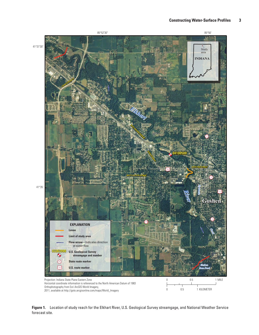

**Figure 1.** Location of study reach for the Elkhart River, U.S. Geological Survey streamgage, and National Weather Service forecast site.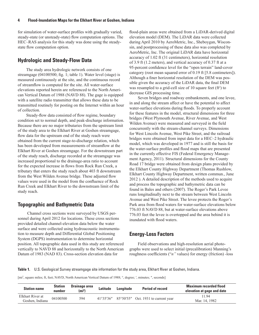<span id="page-11-0"></span>for simulation of water-surface profiles with gradually varied, steady-state (or unsteady-state) flow computation options. The HEC–RAS analysis for this study was done using the steadystate flow computation option.

#### **Hydrologic and Steady-Flow Data**

The study area hydrologic network consists of one streamgage (04100500; fig. 1; table 1). Water level (stage) is measured continuously at the site, and the continuous record of streamflow is computed for the site. All water-surface elevations reported herein are referenced to the North American Vertical Datum of 1988 (NAVD 88). The gage is equipped with a satellite radio transmitter that allows these data to be transmitted routinely for posting on the Internet within an hour of collection.

Steady-flow data consisted of flow regime, boundary condition set to normal depth, and peak-discharge information. Because there are no major tributaries from the upstream limit of the study area to the Elkhart River at Goshen streamgage, flow data for the upstream end of the study reach were obtained from the current stage-to-discharge relation, which has been developed from measurements of streamflow at the Elkhart River at Goshen streamgage. For the downstream part of the study reach, discharge recorded at the streamgage was increased proportional to the drainage-area ratio to account for the expected increase in flows from Rock Run Creek, a tributary that enters the study reach about 403 ft downstream from the West Wilden Avenue bridge. These adjusted flow values were used in the model from the confluence of Rock Run Creek and Elkhart River to the downstream limit of the study reach.

#### **Topographic and Bathymetric Data**

 Channel cross sections were surveyed by USGS personnel during April 2012 for locations. These cross sections provided detailed channel-elevation data below the water surface and were collected using hydroacoustic instrumentation to measure depth and Differential Global Positioning System (DGPS) instrumentation to determine horizontal position. All topographic data used in this study are referenced vertically to NAVD 88 and horizontally to the North American Datum of 1983 (NAD 83). Cross-section elevation data for

flood-plain areas were obtained from a LiDAR-derived digital elevation model (DEM). The LiDAR data were collected during April 2010 by AeroMetric, Inc., Sheboygan, Wisconsin, and postprocessing of these data also was completed by AeroMetric, Inc. The original LiDAR data have horizontal accuracy of 1.02 ft (31 centimeters), horizontal resolution of 3.9 ft (1.2 meters), and vertical accuracy of 0.37 ft at a 95-percent confidence level for the "open terrain" land-cover category (root mean squared error of 0.19 ft [5.8 centimeters]). Although a finer horizontal resolution of the DEM was possible given the accuracy of the LiDAR data, the final DEM was resampled to a grid-cell size of 10 square feet  $(ft<sup>2</sup>)$  to decrease GIS processing time.

Seven bridges and roadway embankments, and one levee, in and along the stream affect or have the potential to affect water-surface elevations during floods. To properly account for these features in the model, structural dimensions for three bridges (West Plymouth Avenue, River Avenue, and West Wilden Avenue) were measured and surveyed in the field concurrently with the stream-channel surveys. Dimensions for West Lincoln Avenue, West Pike Street, and the railroad bridges were obtained from input data for a HEC–2 hydraulic model, which was developed in 1977 and is still the basis for the water-surface profiles and flood maps that are presented in the currently effective FIS (Federal Emergency Management Agency, 2011). Structural dimensions for the County Road 17 bridge were obtained from design plans provided by the Elkhart County Highway Department (Thomas Rushlow, Elkhart County Highway Department, written commun., June 2012 ). A detailed description of the methods used to acquire and process the topographic and bathymetric data can be found in Bales and others (2007). The Roger's Park Levee runs longitudinally next to the stream between West Lincoln Avenue and West Pike Street. The levee protects the Roger's Park area from flood waters for water-surface elevations below 776.03 ft NAVD 88, but at water-surface elevations above 776.03 feet the levee is overtopped and the area behind it is inundated with flood waters.

#### **Energy-Loss Factors**

Field observations and high-resolution aerial photographs were used to select initial (precalibration) Manning's roughness coefficients ("*n"* values) for energy (friction) -loss

**Table 1.** U.S. Geological Survey streamgage site information for the study area, Elkhart River at Goshen, Indiana.

[mi<sup>2</sup>, square miles; ft, feet; NAVD, North American Vertical Datum of 1988; °, degree; ', minutes; ", seconds]

| <b>Station name</b>                 | <b>Station</b><br>number | Drainage area<br>(m <sup>2</sup> ) | Latitude | Longitude | <b>Period of record</b>                                           | <b>Maximum recorded flood</b><br>elevation at gage and date |
|-------------------------------------|--------------------------|------------------------------------|----------|-----------|-------------------------------------------------------------------|-------------------------------------------------------------|
| Elkhart River at<br>Goshen, Indiana | 04100500                 | 594                                |          |           | $41^{\circ}35'36''$ $85^{\circ}50'55''$ Oct. 1931 to current year | 11.94<br>Mar. 14, 1982                                      |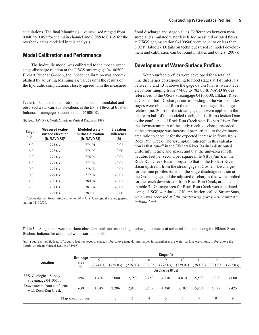<span id="page-12-0"></span>calculations. The final Manning's *n* values used ranged from 0.040 to 0.052 for the main channel and 0.088 to 0.165 for the overbank areas modeled in this analysis.

#### **Model Calibration and Performance**

The hydraulic model was calibrated to the most current stage-discharge relation at the USGS streamgage 04100500, Elkhart River at Goshen, Ind. Model calibration was accomplished by adjusting Manning's *n* values until the results of the hydraulic computations closely agreed with the measured

**Table 2.** Comparison of hydraulic-model output simulated and observed water-surface elevations at the Elkhart River at Goshen, Indiana, streamgage (station number 04100500).

[ft, feet; NAVD 88, North American Vertical Datum of 1988]

| <b>Stage</b><br>$(ft)^1$ | <b>Measured water-</b><br>surface elevation<br>(ft, NAVD 88) <sup>1</sup> | <b>Modeled water-</b><br>surface elevation<br>(ft, NAVD 88) | <b>Elevation</b><br>difference<br>(f <sub>t</sub> ) |
|--------------------------|---------------------------------------------------------------------------|-------------------------------------------------------------|-----------------------------------------------------|
| 5.0                      | 774.03                                                                    | 774.01                                                      | 0.02                                                |
| 6.0                      | 775.03                                                                    | 775.03                                                      | 0.00                                                |
| 7.0                      | 776.03                                                                    | 776.04                                                      | $-0.01$                                             |
| 8.0                      | 777.03                                                                    | 777.04                                                      | $-0.01$                                             |
| 9.0                      | 778.03                                                                    | 778.02                                                      | 0.01                                                |
| 10.0                     | 779.03                                                                    | 779.04                                                      | $-0.01$                                             |
| 11.0                     | 780.03                                                                    | 780.04                                                      | $-0.01$                                             |
| 12.0                     | 781.03                                                                    | 781.04                                                      | $-0.01$                                             |
| 13.0                     | 782.03                                                                    | 782.03                                                      | 0.00                                                |

1 Values derived from rating curve no. 20 at U.S. Geological Survey gaging station 04100500.

flood discharge and stage values. Differences between measured and simulated water levels for measured or rated flows at USGS gaging station 04100500 were equal to or less than 0.02 ft (table 2). Details on techniques used in model development and calibration can be found in Bales and others (2007).

#### **Development of Water-Surface Profiles**

Water-surface profiles were developed for a total of nine discharges corresponding to flood stages at 1-ft intervals between 5 and 13 ft above the gage datum (that is, water-level elevations ranging from 774.03 to 782.03 ft, NAVD 88), as referenced to the USGS streamgage 04100500, Elkhart River at Goshen, Ind. Discharges corresponding to the various index stages were obtained from the most current stage-discharge relation (no. 20.0) for the streamgage and were applied to the upstream half of the modeled reach, that is, from Goshen Dam to the confluence of Rock Run Creek with Elkhart River. For the downstream part of the study reach, discharge recorded at the streamgage was increased proportional to the drainagearea ratio to account for the expected increase in flows from Rock Run Creek. The assumption inherent in this calculation is that runoff in the Elkhart River Basin is distributed uniformly in time and space, and that the unit-area runoff, in cubic feet per second per square mile  $((ft<sup>3</sup>/s)/mi<sup>2</sup>)$ , in the Rock Run Creek Basin is equal to that in the Elkhart River Basin upstream from the streamgage at Goshen. Discharges for the nine profiles based on the stage-discharge relation at the Goshen gage and the adjusted discharges that were applied for the reach downstream from Rock Run Creek, are listed in table 3. Drainage area for Rock Run Creek was calculated using a USGS web-based GIS application, called StreamStats, which was accessed at *[http://water.usgs.gov/osw/streamstats/](http://water.usgs.gov/osw/streamstats/indiana.html) [indiana.html](http://water.usgs.gov/osw/streamstats/indiana.html).* 

**Table 3.** Stages and water-surface elevations with corresponding discharge estimates at selected locations along the Elkhart River at Goshen, Indiana, for simulated water-surface profiles.

[mi<sup>2</sup>, square miles; ft, feet; ft<sup>3</sup>/s, cubic feet per second; stage, in feet above gage datum; values in parentheses are water-surface elevations, in feet above the North American Vertical Datum of 1988]

|                                                   | <b>Drainage</b><br>area<br>(mi <sup>2</sup> ) | Stage (ft)           |          |          |       |          |               |        |          |          |
|---------------------------------------------------|-----------------------------------------------|----------------------|----------|----------|-------|----------|---------------|--------|----------|----------|
| <b>Location</b>                                   |                                               |                      | 6        |          | 8     | 9        | 10            |        | 12       | 13       |
|                                                   |                                               | (774.03)             | (775.03) | (776.03) | .03)  | (778.03) | (779.03)      | 780.03 | (781.03) | (782.03) |
|                                                   |                                               | Discharge $(ft^3/s)$ |          |          |       |          |               |        |          |          |
| U.S. Geological Survey<br>streamgage 04100500     | 594                                           | 1,460                | 2,080    | 2,750    | 3,450 | 4,130    | 4,810         | 5,500  | 6,220    | 7,000    |
| Downstream from confluence<br>with Rock Run Creek | 630                                           | 1,549                | 2.206    | 2,917    | 3,659 | 4,380    | 5.102         | 5,834  | 6,597    | 7,425    |
|                                                   | Map sheet number                              |                      |          | 3        | 4     | 5.       | $\mathfrak b$ |        | 8        | 9        |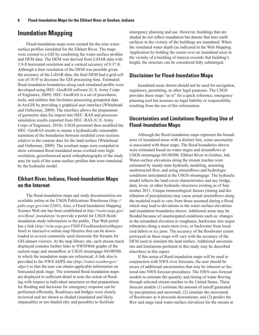### <span id="page-13-0"></span>**Inundation Mapping**

Flood-inundation maps were created for the nine watersurface profiles simulated for the Elkhart River. The maps were created in a GIS by combining the water-surface profiles and DEM data. The DEM was derived from LiDAR data with 3.9-ft horizontal resolution and a vertical accuracy of 0.37 ft. Although a finer resolution of the DEM was possible given the accuracy of the LiDAR data, the final DEM had a grid-cell size of 10 ft<sup>2</sup> to decrease the GIS processing time. Estimated flood-inundation boundaries along each simulated profile were developed using HEC–GeoRAS software (U.S. Army Corps of Engineers, 2009). HEC–GeoRAS is a set of procedures, tools, and utilities that facilitates processing geospatial data in ArcGIS by providing a graphical user interface (Whitehead and Ostheimer, 2009). The interface allows the preparation of geometric data for import into HEC–RAS and processes simulation results exported from HEC–RAS (U.S. Army Corps of Engineers, 2010). USGS personnel then modified the HEC–GeoRAS results to ensure a hydraulically reasonable transition of the boundaries between modeled cross sections relative to the contour data for the land surface (Whitehead and Ostheimer, 2009). The resultant maps were compiled to show estimated flood-inundated areas overlaid onto highresolution, georeferenced aerial orthophotographs of the study area for each of the water-surface profiles that were simulated by the hydraulic model.

#### **Elkhart River, Indiana, Flood-Inundation Maps on the Internet**

The flood-inundation maps and study documentation are available online at the USGS Publications Warehouse (*[http://](http://pubs.usgs.gov/sim/3269/) [pubs.usgs.gov/sim/3269/](http://pubs.usgs.gov/sim/3269/)*). Also, a Flood Inundation Mapping Science Web site has been established at *[http://water.usgs.gov/](http://water.usgs.gov/osw/flood_inundation/) [osw/flood\\_inundation/](http://water.usgs.gov/osw/flood_inundation/)* to provide a portal for USGS floodinundation study information to the public*[.](http://water.usgs.gov/osw/flood_inundation/.)* That Web portal has a link (*[http://wim.usgs.gov/FIMI/FloodInundationMapper.](http://wim.usgs.gov/FIMI/FloodInundationMapper.html) [html](http://wim.usgs.gov/FIMI/FloodInundationMapper.html)*) to interactive online map libraries that can be downloaded in several commonly used electronic file formats for GIS dataset viewers. At the map library site, each stream reach displayed contains further links to NWISWeb graphs of the current stage and streamflow at USGS streamgage 04100500, to which the inundation maps are referenced. A link also is provided to the NWS AHPS site (*[http://water.weather.gov/](http://water.weather.gov/ahps/) [ahps/](http://water.weather.gov/ahps/)*) so that the user can obtain applicable information on forecasted peak stage. The estimated flood-inundation maps are displayed in sufficient detail to note the extent of flooding with respect to individual structures so that preparations for flooding and decisions for emergency response can be performed efficiently. Roadways and bridges were closely reviewed and are shown as shaded (inundated and likely impassable) or not shaded (dry and passable) to facilitate

emergency planning and use. However, buildings that are shaded do not reflect inundation but denote that bare earth surfaces in the vicinity of the buildings are inundated. When the simulated water depth (as indicated in the Web Mapping Application by holding the cursor over an inundated area) in the vicinity of a building of interest exceeds that building's height, the structure can be considered fully submerged.

#### **Disclaimer for Flood-Inundation Maps**

Inundated areas shown should not be used for navigation, regulatory, permitting, or other legal purposes. The USGS provides these maps "as is" for a quick reference, emergency planning tool but assumes no legal liability or responsibility resulting from the use of this information.

#### **Uncertainties and Limitations Regarding Use of Flood-Inundation Maps**

Although the flood-inundation maps represent the boundaries of inundated areas with a distinct line, some uncertainty is associated with these maps. The flood boundaries shown were estimated based on water stages and streamflows at USGS streamgage 04100500, Elkhart River at Goshen, Ind. Water-surface elevations along the stream reaches were estimated by steady-state hydraulic modeling, assuming unobstructed flow, and using streamflows and hydrologic conditions anticipated at the USGS streamgage. The hydraulic model reflects the land-cover characteristics and any bridge, dam, levee, or other hydraulic structures existing as of September 2011. Unique meteorological factors (timing and distribution of precipitation) may cause actual streamflows along the modeled reach to vary from those assumed during a flood, which may lead to deviations in the water-surface elevations and inundation boundaries shown. Additional areas may be flooded because of unanticipated conditions such as: changes in the streambed elevation or roughness, backwater into major tributaries along a main-stem river, or backwater from localized debris or ice jams. The accuracy of the floodwater extent portrayed on these maps will vary with the accuracy of the DEM used to simulate the land surface. Additional uncertainties and limitations pertinent to this study may be described elsewhere in this report.

If this series of flood-inundation maps will be used in conjunction with NWS river forecasts, the user should be aware of additional uncertainties that may be inherent or factored into NWS forecast procedures. The NWS uses forecast models to estimate the quantity and timing of water flowing through selected stream reaches in the United States. These forecast models (1) estimate the amount of runoff generated by precipitation and snowmelt, (2) simulate the movement of floodwater as it proceeds downstream, and (3) predict the flow and stage (and water-surface elevation) for the stream at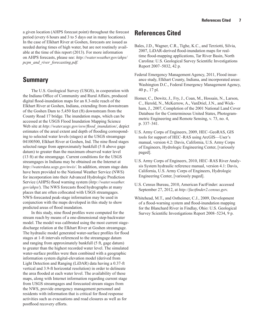<span id="page-14-0"></span>a given location (AHPS forecast point) throughout the forecast period (every 6 hours and 3 to 5 days out in many locations). In the case of Elkhart River at Goshen, forecasts are issued as needed during times of high water, but are not routinely available at the time of this report (2013). For more information on AHPS forecasts, please see: *[http://water.weather.gov/ahps/](http://water.weather.gov/ahps/pcpn_and_river_forecasting.pdf.%20) [pcpn\\_and\\_river\\_forecasting.pdf.](http://water.weather.gov/ahps/pcpn_and_river_forecasting.pdf.%20)* 

### **Summary**

The U.S. Geological Survey (USGS), in cooperation with the Indiana Office of Community and Rural Affairs, produced digital flood-inundation maps for an 8.3-mile reach of the Elkhart River at Goshen, Indiana, extending from downstream of the Goshen Dam to 5,450 feet (ft) downstream from the County Road 17 bridge. The inundation maps, which can be accessed at the USGS Flood Inundation Mapping Science Web site at *[http://water.usgs.gov/osw/flood\\_inundation/](http://water.usgs.gov/osw/flood_inundation/)*, depict estimates of the areal extent and depth of flooding corresponding to selected water levels (stages) at the USGS streamgage 04100500, Elkhart River at Goshen, Ind. The nine flood stages selected range from approximately bankfull (5 ft above gage datum) to greater than the maximum observed water level (13 ft) at the streamgage. Current conditions for the USGS streamgages in Indiana may be obtained on the Internet at *<http://waterdata.usgs.gov/nwis/>*. In addition, stream stage data have been provided to the National Weather Service (NWS) for incorporation into their Advanced Hydrologic Prediction Service (AHPS) flood warning system (*[http://water.weather.](http://water.weather.gov/ahps/) [gov/ahps/](http://water.weather.gov/ahps/)*). The NWS forecasts flood hydrographs at many places that are often collocated with USGS streamgages. NWS-forecasted peak-stage information may be used in conjunction with the maps developed in this study to show predicted areas of flood inundation.

In this study, nine flood profiles were computed for the stream reach by means of a one-dimensional step-backwater model. The model was calibrated using the most current stagedischarge relation at the Elkhart River at Goshen streamgage. The hydraulic model generated water-surface profiles for flood stages at 1-ft intervals referenced to the streamgage datum and ranging from approximately bankfull (5 ft, gage datum) to greater than the highest recorded water level. The simulated water-surface profiles were then combined with a geographic information system digital-elevation model (derived from Light Detection and Ranging (LiDAR) data having a 0.37-ft vertical and 3.9-ft horizontal resolution) in order to delineate the area flooded at each water level. The availability of these maps, along with Internet information regarding current stage from USGS streamgages and forecasted stream stages from the NWS, provide emergency management personnel and residents with information that is critical for flood response activities such as evacuations and road closures as well as for postflood recovery efforts.

## **References Cited**

- Bales, J.D., Wagner, C.R., Tighe, K.C., and Terziotti, Silvia, 2007, LiDAR-derived flood-inundation maps for realtime flood-mapping applications, Tar River Basin, North Carolina: U.S. Geological Survey Scientific Investigations Report 2007–5032, 42 p.
- Federal Emergency Management Agency, 2011, Flood insurance study, Elkhart County, Indiana, and incorporated areas: Washington D.C., Federal Emergency Management Agency, 40 p., 17 pl.
- Homer, C., Dewitz, J., Fry, J., Coan, M., Hossain, N., Larson, C., Herold, N., McKerrow, A., VanDriel, J.N., and Wickham, J., 2007, [Completion of the 2001 National Land Cover](http://www.asprs.org/a/publications/pers/2007journal/april/highlight.pdf)  [Database for the Conterminous United States](http://www.asprs.org/a/publications/pers/2007journal/april/highlight.pdf), Photogrammetric Engineering and Remote Sensing, v. 73, no. 4, p. 337–341.
- U.S. Army Corps of Engineers, 2009, HEC–GeoRAS, GIS tools for support of HEC–RAS using ArcGIS—User's manual, version 4.2: Davis, California, U.S. Army Corps of Engineers, Hydrologic Engineering Center, [variously paged].
- U.S. Army Corps of Engineers, 2010, HEC–RAS River Analysis System hydraulic reference manual, version 4.1: Davis, California, U.S. Army Corps of Engineers, Hydrologic Engineering Center, [variously paged].
- U.S. Census Bureau, 2010, American FactFinder: accessed September 27, 2012, at *[http://factfinder2.census.go](http://factfinder2.census.gov/faces/nav/jsf/pages/index.xhtml)*v.
- Whitehead, M.T., and Ostheimer, C.J., 2009, Development of a flood-warning system and flood-inundation mapping for the Blanchard River in Findlay, Ohio: U.S. Geological Survey Scientific Investigations Report 2008–5234, 9 p.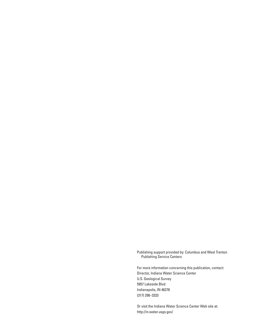Publishing support provided by: Columbus and West Trenton Publishing Service Centers

For more information concerning this publication, contact: Director, Indiana Water Science Center U.S. Geological Survey 5957 Lakeside Blvd. Indianapolis, IN 46278 (317) 290–3333

Or visit the Indiana Water Science Center Web site at: <http://in.water.usgs.gov/>